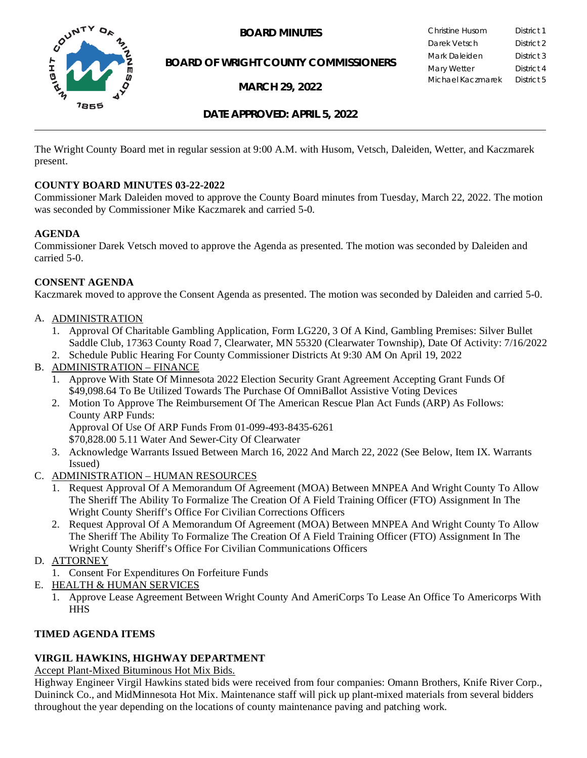

**BOARD OF WRIGHT COUNTY COMMISSIONERS**

**MARCH 29, 2022**

**BOARD MINUTES** Christine Husom District 1<br>Darek Vetsch District 2 Darek Vetsch Mark Daleiden **District 3** Mary Wetter **District 4** Michael Kaczmarek District 5

**DATE APPROVED: APRIL 5, 2022**

The Wright County Board met in regular session at 9:00 A.M. with Husom, Vetsch, Daleiden, Wetter, and Kaczmarek present.

## **COUNTY BOARD MINUTES 03-22-2022**

Commissioner Mark Daleiden moved to approve the County Board minutes from Tuesday, March 22, 2022. The motion was seconded by Commissioner Mike Kaczmarek and carried 5-0.

## **AGENDA**

Commissioner Darek Vetsch moved to approve the Agenda as presented. The motion was seconded by Daleiden and carried 5-0.

## **CONSENT AGENDA**

Kaczmarek moved to approve the Consent Agenda as presented. The motion was seconded by Daleiden and carried 5-0.

## A. ADMINISTRATION

- 1. Approval Of Charitable Gambling Application, Form LG220, 3 Of A Kind, Gambling Premises: Silver Bullet Saddle Club, 17363 County Road 7, Clearwater, MN 55320 (Clearwater Township), Date Of Activity: 7/16/2022
- 2. Schedule Public Hearing For County Commissioner Districts At 9:30 AM On April 19, 2022
- B. ADMINISTRATION FINANCE
	- 1. Approve With State Of Minnesota 2022 Election Security Grant Agreement Accepting Grant Funds Of \$49,098.64 To Be Utilized Towards The Purchase Of OmniBallot Assistive Voting Devices
	- 2. Motion To Approve The Reimbursement Of The American Rescue Plan Act Funds (ARP) As Follows: County ARP Funds:

Approval Of Use Of ARP Funds From 01-099-493-8435-6261

\$70,828.00 5.11 Water And Sewer-City Of Clearwater

- 3. Acknowledge Warrants Issued Between March 16, 2022 And March 22, 2022 (See Below, Item IX. Warrants Issued)
- C. ADMINISTRATION HUMAN RESOURCES
	- 1. Request Approval Of A Memorandum Of Agreement (MOA) Between MNPEA And Wright County To Allow The Sheriff The Ability To Formalize The Creation Of A Field Training Officer (FTO) Assignment In The Wright County Sheriff's Office For Civilian Corrections Officers
	- 2. Request Approval Of A Memorandum Of Agreement (MOA) Between MNPEA And Wright County To Allow The Sheriff The Ability To Formalize The Creation Of A Field Training Officer (FTO) Assignment In The Wright County Sheriff's Office For Civilian Communications Officers
- D. ATTORNEY
	- 1. Consent For Expenditures On Forfeiture Funds
- E. HEALTH & HUMAN SERVICES
	- 1. Approve Lease Agreement Between Wright County And AmeriCorps To Lease An Office To Americorps With **HHS**

## **TIMED AGENDA ITEMS**

## **VIRGIL HAWKINS, HIGHWAY DEPARTMENT**

Accept Plant-Mixed Bituminous Hot Mix Bids.

Highway Engineer Virgil Hawkins stated bids were received from four companies: Omann Brothers, Knife River Corp., Duininck Co., and MidMinnesota Hot Mix. Maintenance staff will pick up plant-mixed materials from several bidders throughout the year depending on the locations of county maintenance paving and patching work.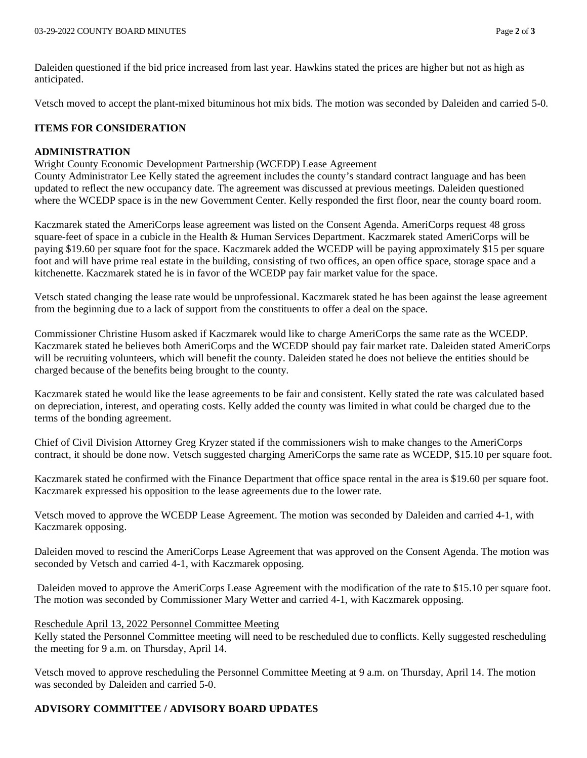Daleiden questioned if the bid price increased from last year. Hawkins stated the prices are higher but not as high as anticipated.

Vetsch moved to accept the plant-mixed bituminous hot mix bids. The motion was seconded by Daleiden and carried 5-0.

## **ITEMS FOR CONSIDERATION**

## **ADMINISTRATION**

Wright County Economic Development Partnership (WCEDP) Lease Agreement

County Administrator Lee Kelly stated the agreement includes the county's standard contract language and has been updated to reflect the new occupancy date. The agreement was discussed at previous meetings. Daleiden questioned where the WCEDP space is in the new Government Center. Kelly responded the first floor, near the county board room.

Kaczmarek stated the AmeriCorps lease agreement was listed on the Consent Agenda. AmeriCorps request 48 gross square-feet of space in a cubicle in the Health & Human Services Department. Kaczmarek stated AmeriCorps will be paying \$19.60 per square foot for the space. Kaczmarek added the WCEDP will be paying approximately \$15 per square foot and will have prime real estate in the building, consisting of two offices, an open office space, storage space and a kitchenette. Kaczmarek stated he is in favor of the WCEDP pay fair market value for the space.

Vetsch stated changing the lease rate would be unprofessional. Kaczmarek stated he has been against the lease agreement from the beginning due to a lack of support from the constituents to offer a deal on the space.

Commissioner Christine Husom asked if Kaczmarek would like to charge AmeriCorps the same rate as the WCEDP. Kaczmarek stated he believes both AmeriCorps and the WCEDP should pay fair market rate. Daleiden stated AmeriCorps will be recruiting volunteers, which will benefit the county. Daleiden stated he does not believe the entities should be charged because of the benefits being brought to the county.

Kaczmarek stated he would like the lease agreements to be fair and consistent. Kelly stated the rate was calculated based on depreciation, interest, and operating costs. Kelly added the county was limited in what could be charged due to the terms of the bonding agreement.

Chief of Civil Division Attorney Greg Kryzer stated if the commissioners wish to make changes to the AmeriCorps contract, it should be done now. Vetsch suggested charging AmeriCorps the same rate as WCEDP, \$15.10 per square foot.

Kaczmarek stated he confirmed with the Finance Department that office space rental in the area is \$19.60 per square foot. Kaczmarek expressed his opposition to the lease agreements due to the lower rate.

Vetsch moved to approve the WCEDP Lease Agreement. The motion was seconded by Daleiden and carried 4-1, with Kaczmarek opposing.

Daleiden moved to rescind the AmeriCorps Lease Agreement that was approved on the Consent Agenda. The motion was seconded by Vetsch and carried 4-1, with Kaczmarek opposing.

Daleiden moved to approve the AmeriCorps Lease Agreement with the modification of the rate to \$15.10 per square foot. The motion was seconded by Commissioner Mary Wetter and carried 4-1, with Kaczmarek opposing.

#### Reschedule April 13, 2022 Personnel Committee Meeting

Kelly stated the Personnel Committee meeting will need to be rescheduled due to conflicts. Kelly suggested rescheduling the meeting for 9 a.m. on Thursday, April 14.

Vetsch moved to approve rescheduling the Personnel Committee Meeting at 9 a.m. on Thursday, April 14. The motion was seconded by Daleiden and carried 5-0.

# **ADVISORY COMMITTEE / ADVISORY BOARD UPDATES**